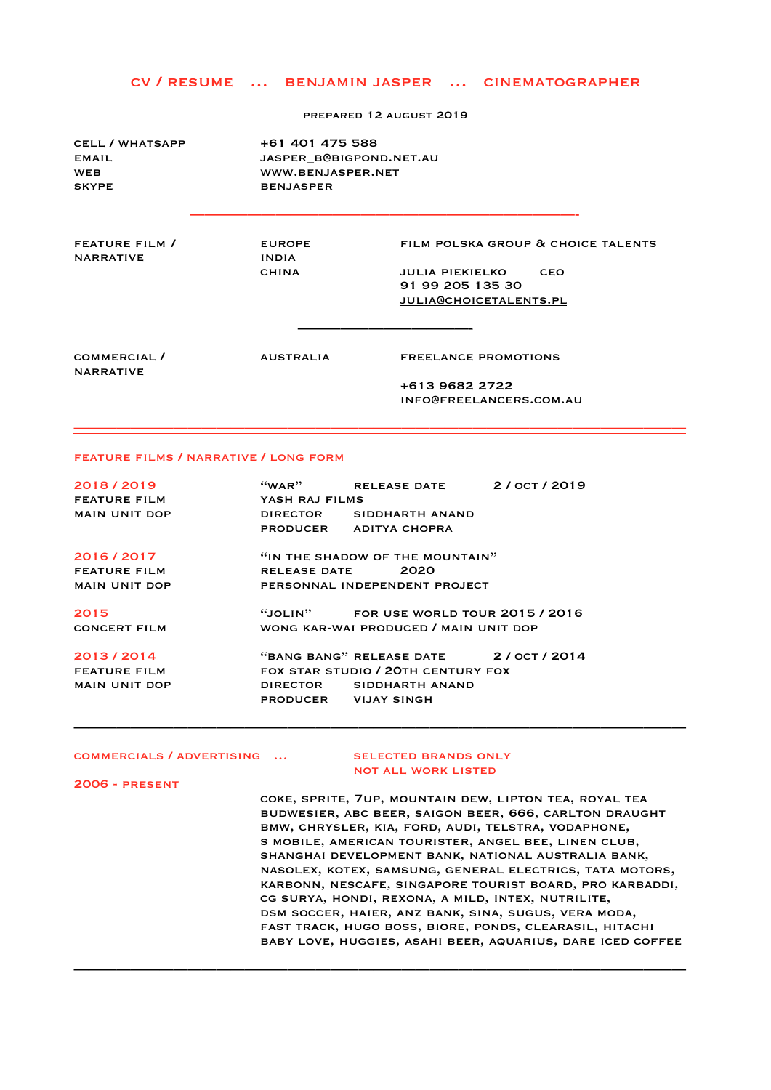## cv / resume … benjamin jasper … cinematographer

prepared 12 august 2019

| <b>CELL / WHATSAPP</b><br><b>EMAIL</b><br><b>WEB</b><br><b>SKYPE</b> | <b>BENJASPER</b>                              | +61 401 475 588<br>JASPER B@BIGPOND.NET.AU<br>WWW.BENJASPER.NET                                                                 |  |  |
|----------------------------------------------------------------------|-----------------------------------------------|---------------------------------------------------------------------------------------------------------------------------------|--|--|
| FEATURE FILM /<br><b>NARRATIVE</b>                                   | <b>EUROPE</b><br><b>INDIA</b><br><b>CHINA</b> | FILM POLSKA GROUP & CHOICE TALENTS<br><b>CEO</b><br><b>JULIA PIEKIELKO</b><br>91 99 205 135 30<br><b>JULIA@CHOICETALENTS.PL</b> |  |  |
| COMMERCIAL /<br><b>NARRATIVE</b>                                     | <b>AUSTRALIA</b>                              | <b>FREELANCE PROMOTIONS</b><br>+613 9682 2722<br>INFO@FREELANCERS.COM.AU                                                        |  |  |

**———————————————————————————————————————————** 

———————————————————————————————————————————

———————————————————————————————————————————

## feature films / narrative / long form

| 2018/2019            | $``$ WAR $"$                          | RELEASE DATE 2/OCT/2019                |  |  |
|----------------------|---------------------------------------|----------------------------------------|--|--|
| <b>FEATURE FILM</b>  | YASH RAJ FILMS                        |                                        |  |  |
| <b>MAIN UNIT DOP</b> |                                       | DIRECTOR SIDDHARTH ANAND               |  |  |
|                      |                                       | PRODUCER ADITYA CHOPRA                 |  |  |
| 2016/2017            | "IN THE SHADOW OF THE MOUNTAIN"       |                                        |  |  |
| <b>FEATURE FILM</b>  | RELEASE DATE 2020                     |                                        |  |  |
| <b>MAIN UNIT DOP</b> | PERSONNAL INDEPENDENT PROJECT         |                                        |  |  |
| 2015                 |                                       | "JOLIN" FOR USE WORLD TOUR $2015/2016$ |  |  |
| <b>CONCERT FILM</b>  | WONG KAR-WAI PRODUCED / MAIN UNIT DOP |                                        |  |  |
| 2013/2014            |                                       | "BANG BANG" RELEASE DATE 2/ OCT / 2014 |  |  |
| <b>FEATURE FILM</b>  | FOX STAR STUDIO / 20TH CENTURY FOX    |                                        |  |  |
| <b>MAIN UNIT DOP</b> |                                       | DIRECTOR SIDDHARTH ANAND               |  |  |
|                      | PRODUCER VIJAY SINGH                  |                                        |  |  |

## COMMERCIALS / ADVERTISING ... SELECTED BRANDS ONLY

# not all work listed

2006 - present

 coke, sprite, 7up, mountain dew, lipton tea, royal tea budwesier, abc beer, saigon beer, 666, carlton draught bmw, chrysler, kia, ford, audi, telstra, vodaphone, s mobile, american tourister, angel bee, linen club, shanghai development bank, national australia bank, nasolex, kotex, samsung, general electrics, tata motors, karbonn, nescafe, singapore tourist board, pro karbaddi, cg surya, hondi, rexona, a mild, intex, nutrilite, dsm soccer, haier, anz bank, sina, sugus, vera moda, fast track, hugo boss, biore, ponds, clearasil, hitachi baby love, huggies, asahi beer, aquarius, dare iced coffee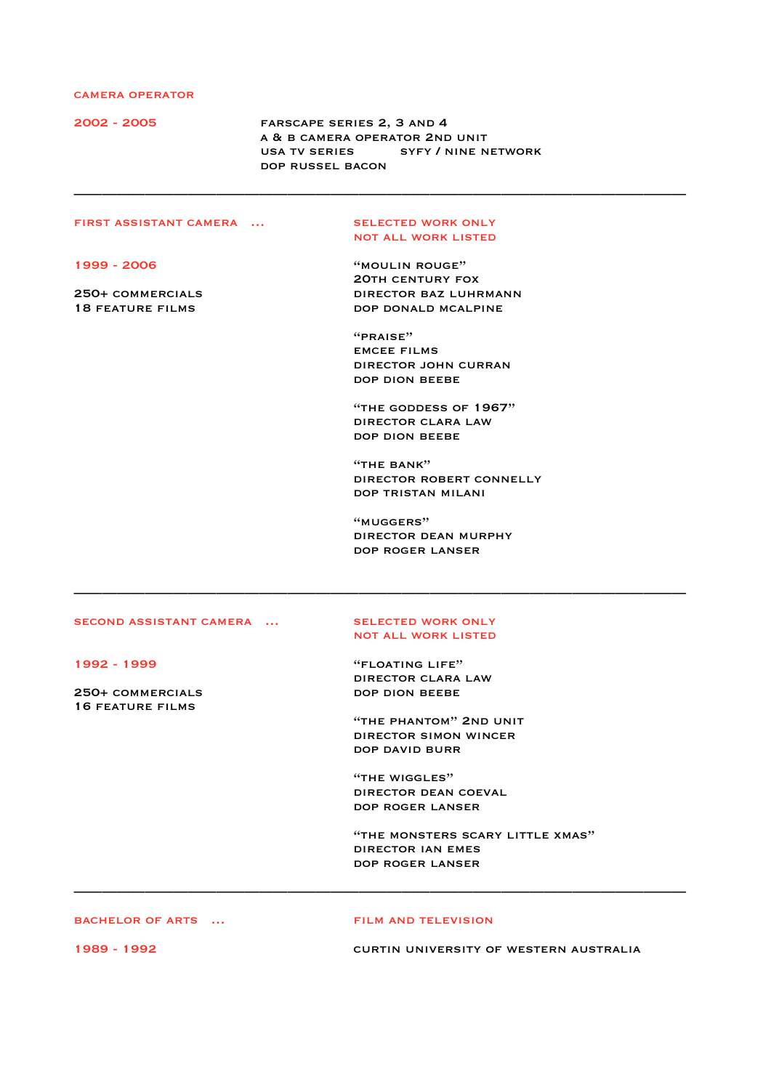## camera operator

2002 - 2005 farscape series 2, 3 and 4 a & b camera operator 2nd unit USA TV SERIES SYFY / NINE NETWORK dop russel bacon

———————————————————————————————————————————

## FIRST ASSISTANT CAMERA ... SELECTED WORK ONLY

not all work listed

1999 - 2006 "moulin rouge" 20th century fox 250+ commercials director baz luhrmann 18 FEATURE FILMS **DOP DONALD MCALPINE** 

> "praise" emcee films director john curran dop dion beebe

 "the goddess of 1967" director clara law dop dion beebe

"THE BANK" director robert connelly dop tristan milani

 "muggers" director dean murphy dop roger lanser

## SECOND ASSISTANT CAMERA ... SELECTED WORK ONLY

250+ COMMERCIALS DOP DION BEEBE 16 feature films

# not all work listed

———————————————————————————————————————————

1992 - 1999 "floating life" director clara law

> "the phantom" 2nd unit director simon wincer dop david burr

"THE WIGGLES" director dean coeval dop roger lanser

 "the monsters scary little xmas" director ian emes dop roger lanser

bachelor of arts … film and television

———————————————————————————————————————————

1989 - 1992 curtin university of western australia